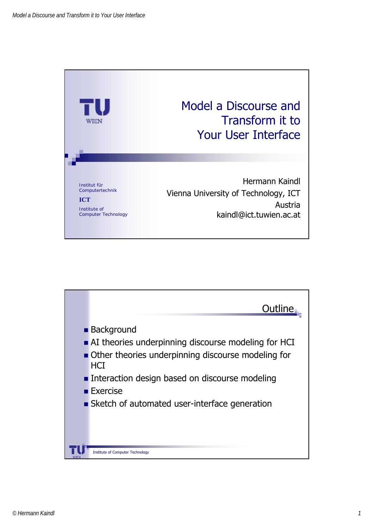

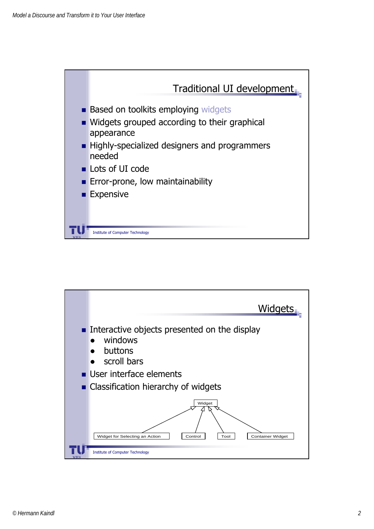

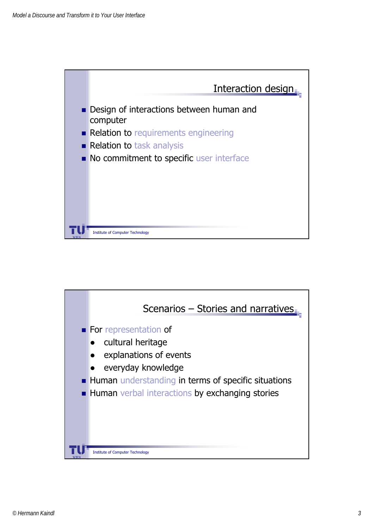

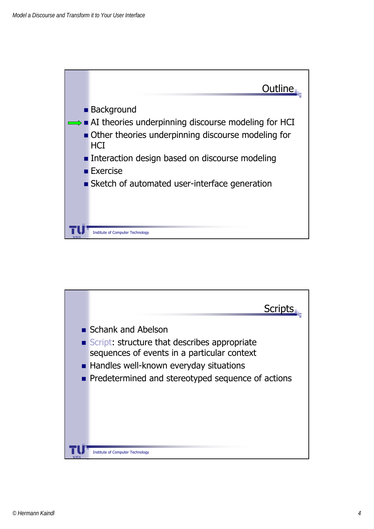

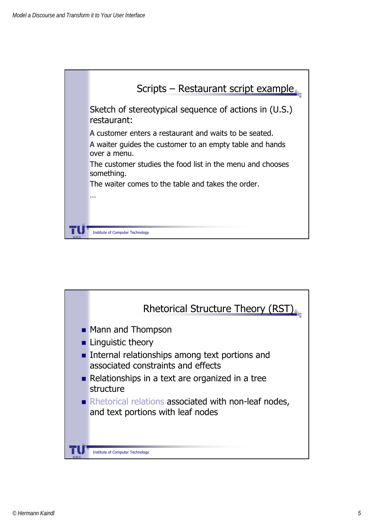

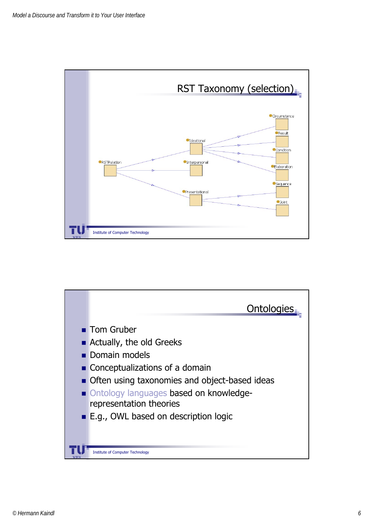

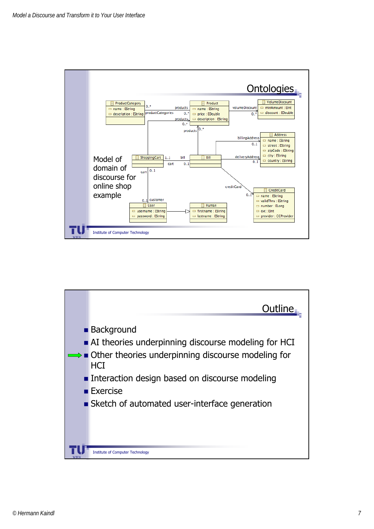

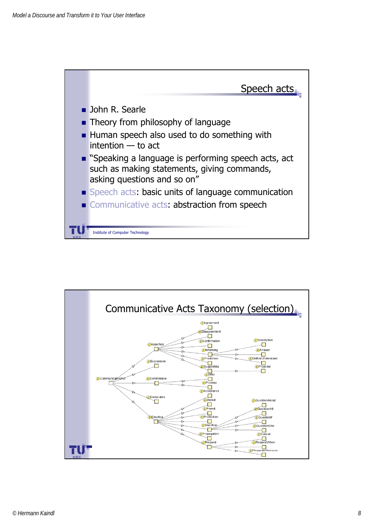

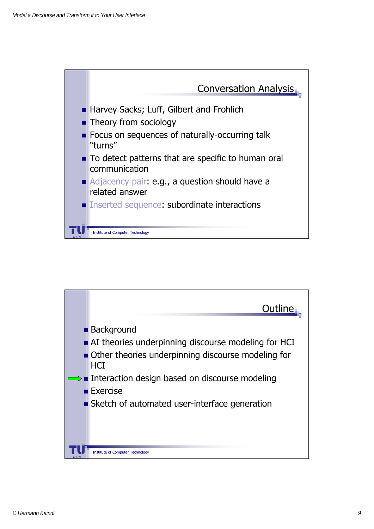

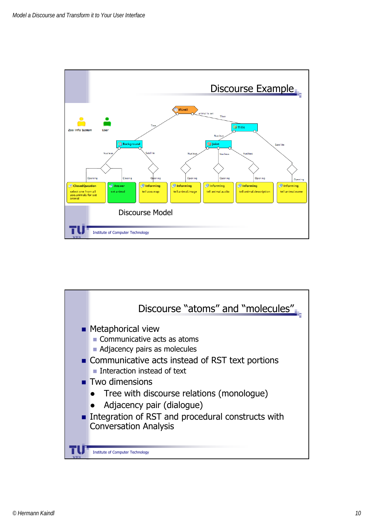

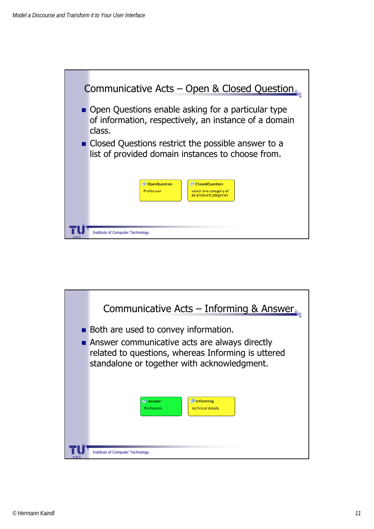

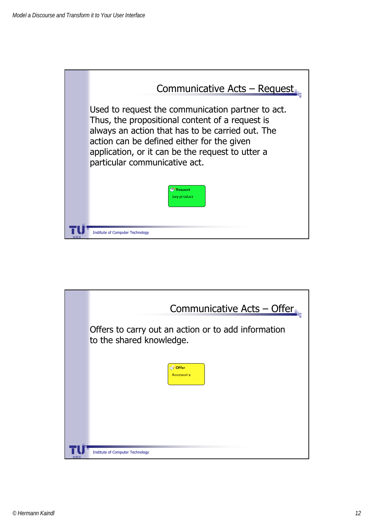

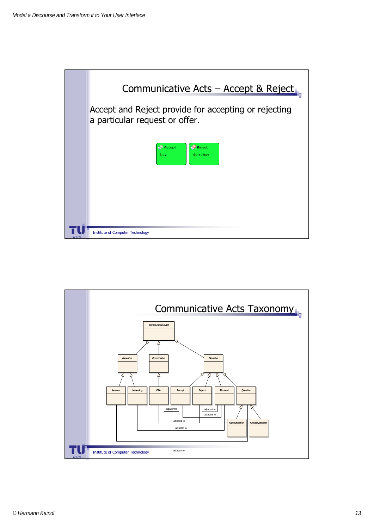

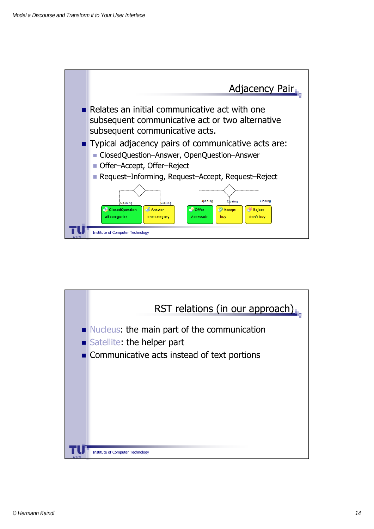

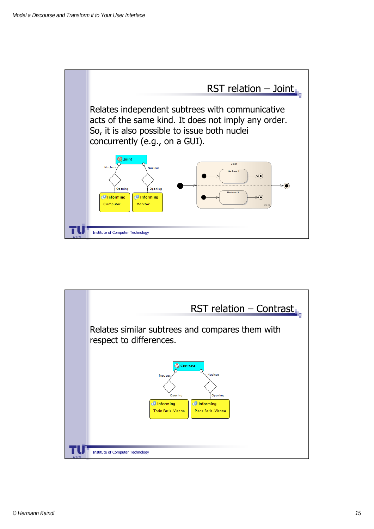

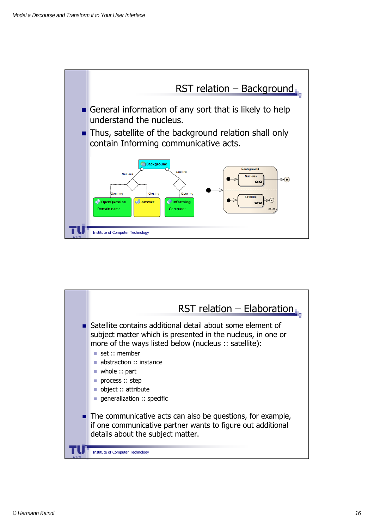

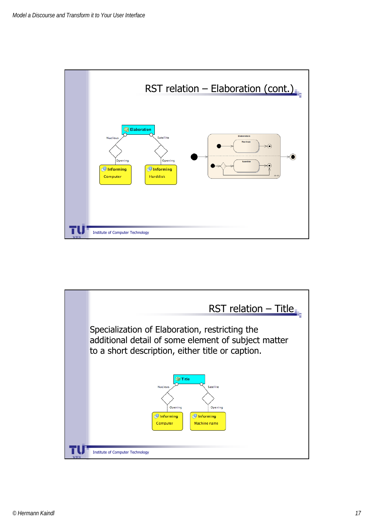

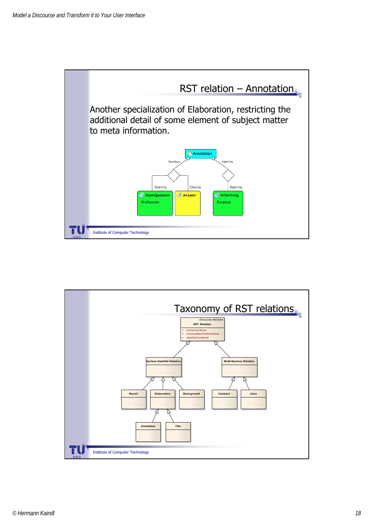

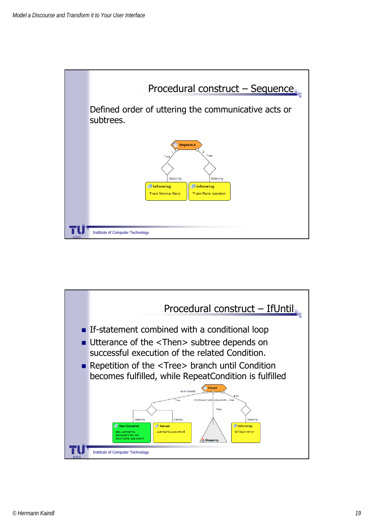

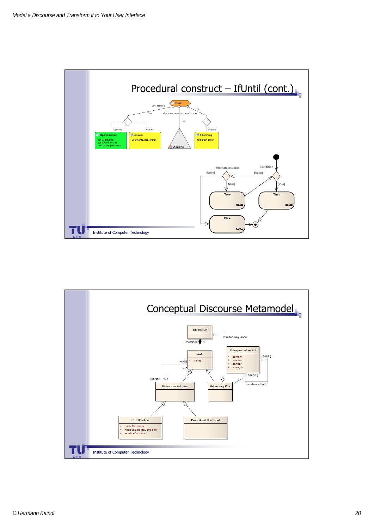

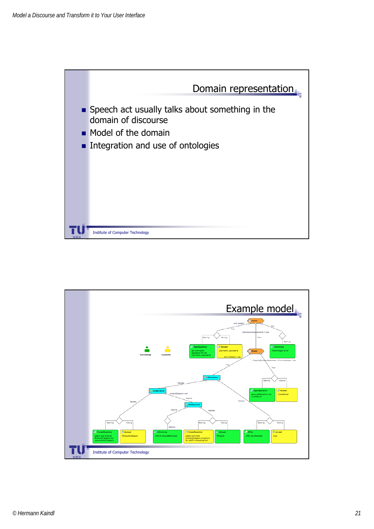

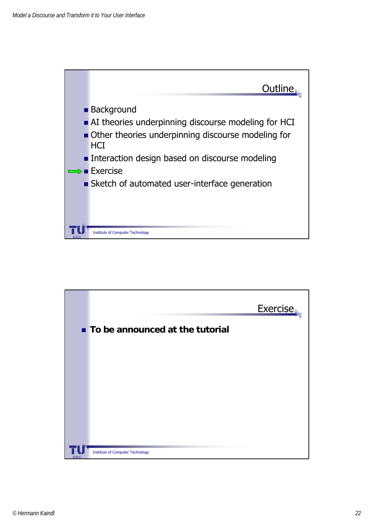

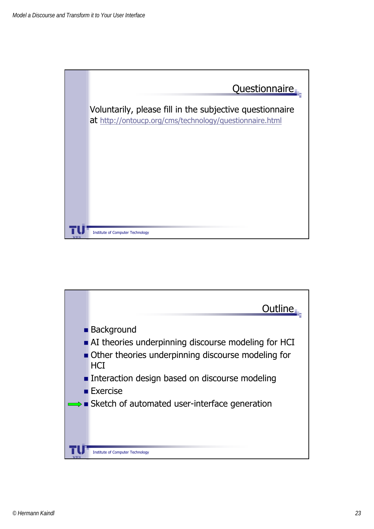

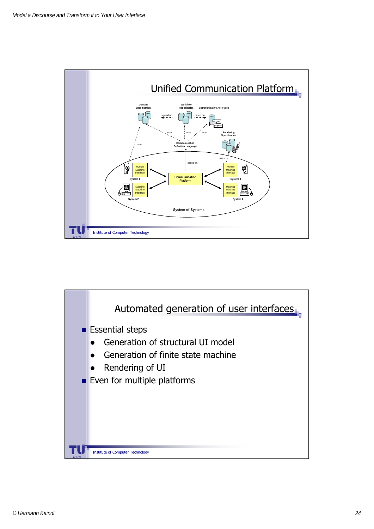

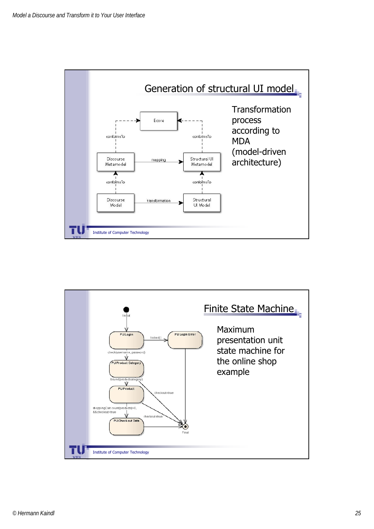

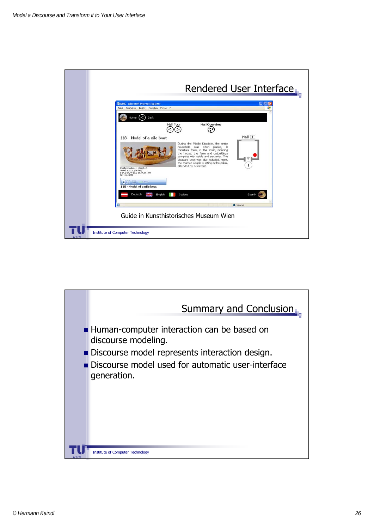

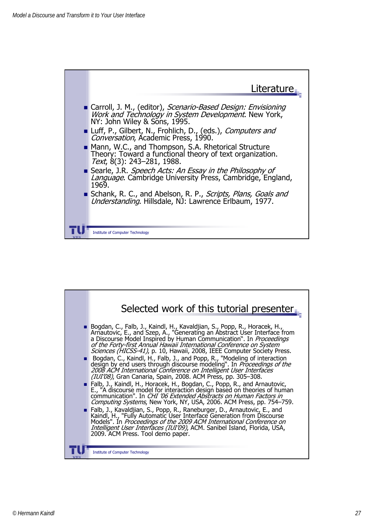